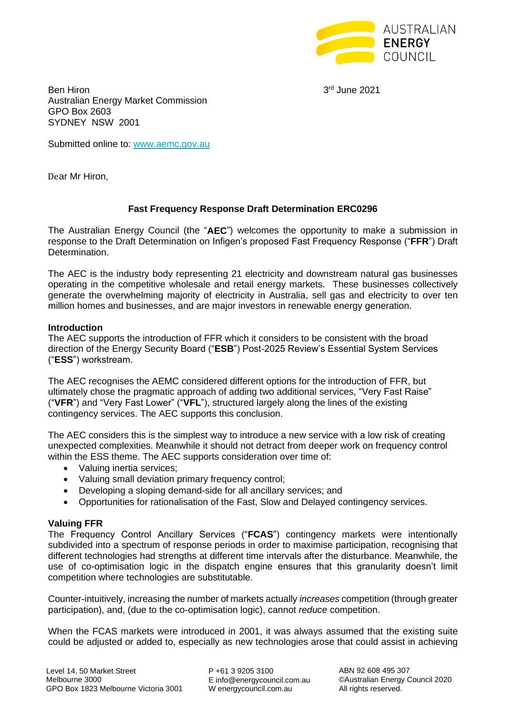

3rd June 2021

**Ben Hiron** Australian Energy Market Commission GPO Box 2603 SYDNEY NSW 2001

Submitted online to: [www.aemc.gov.au](http://www.aemc.gov.au/)

Dear Mr Hiron,

# **Fast Frequency Response Draft Determination ERC0296**

The Australian Energy Council (the "**AEC**") welcomes the opportunity to make a submission in response to the Draft Determination on Infigen's proposed Fast Frequency Response ("**FFR**") Draft Determination.

The AEC is the industry body representing 21 electricity and downstream natural gas businesses operating in the competitive wholesale and retail energy markets. These businesses collectively generate the overwhelming majority of electricity in Australia, sell gas and electricity to over ten million homes and businesses, and are major investors in renewable energy generation.

#### **Introduction**

The AEC supports the introduction of FFR which it considers to be consistent with the broad direction of the Energy Security Board ("**ESB**") Post-2025 Review's Essential System Services ("**ESS**") workstream.

The AEC recognises the AEMC considered different options for the introduction of FFR, but ultimately chose the pragmatic approach of adding two additional services, "Very Fast Raise" ("**VFR**") and "Very Fast Lower" ("**VFL**"), structured largely along the lines of the existing contingency services. The AEC supports this conclusion.

The AEC considers this is the simplest way to introduce a new service with a low risk of creating unexpected complexities. Meanwhile it should not detract from deeper work on frequency control within the ESS theme. The AEC supports consideration over time of:

- Valuing inertia services;
- Valuing small deviation primary frequency control;
- Developing a sloping demand-side for all ancillary services; and
- Opportunities for rationalisation of the Fast, Slow and Delayed contingency services.

## **Valuing FFR**

The Frequency Control Ancillary Services ("**FCAS**") contingency markets were intentionally subdivided into a spectrum of response periods in order to maximise participation, recognising that different technologies had strengths at different time intervals after the disturbance. Meanwhile, the use of co-optimisation logic in the dispatch engine ensures that this granularity doesn't limit competition where technologies are substitutable.

Counter-intuitively, increasing the number of markets actually *increases* competition (through greater participation), and, (due to the co-optimisation logic), cannot *reduce* competition.

When the FCAS markets were introduced in 2001, it was always assumed that the existing suite could be adjusted or added to, especially as new technologies arose that could assist in achieving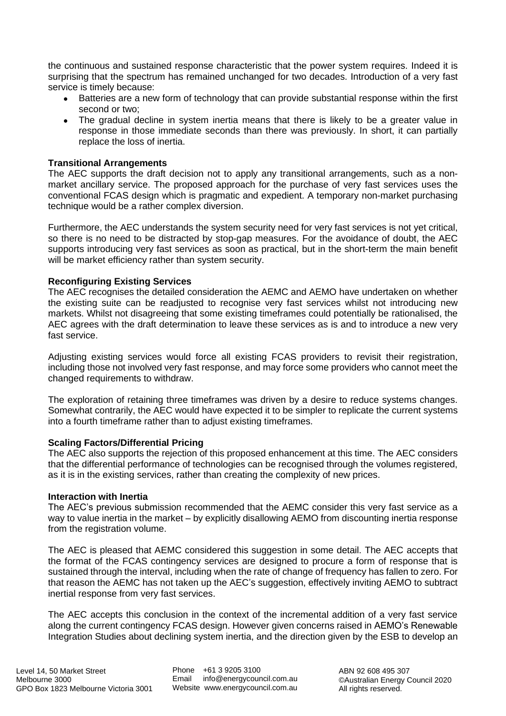the continuous and sustained response characteristic that the power system requires. Indeed it is surprising that the spectrum has remained unchanged for two decades. Introduction of a very fast service is timely because:

- Batteries are a new form of technology that can provide substantial response within the first second or two;
- The gradual decline in system inertia means that there is likely to be a greater value in response in those immediate seconds than there was previously. In short, it can partially replace the loss of inertia.

# **Transitional Arrangements**

The AEC supports the draft decision not to apply any transitional arrangements, such as a nonmarket ancillary service. The proposed approach for the purchase of very fast services uses the conventional FCAS design which is pragmatic and expedient. A temporary non-market purchasing technique would be a rather complex diversion.

Furthermore, the AEC understands the system security need for very fast services is not yet critical, so there is no need to be distracted by stop-gap measures. For the avoidance of doubt, the AEC supports introducing very fast services as soon as practical, but in the short-term the main benefit will be market efficiency rather than system security.

# **Reconfiguring Existing Services**

The AEC recognises the detailed consideration the AEMC and AEMO have undertaken on whether the existing suite can be readiusted to recognise very fast services whilst not introducing new markets. Whilst not disagreeing that some existing timeframes could potentially be rationalised, the AEC agrees with the draft determination to leave these services as is and to introduce a new very fast service.

Adjusting existing services would force all existing FCAS providers to revisit their registration, including those not involved very fast response, and may force some providers who cannot meet the changed requirements to withdraw.

The exploration of retaining three timeframes was driven by a desire to reduce systems changes. Somewhat contrarily, the AEC would have expected it to be simpler to replicate the current systems into a fourth timeframe rather than to adjust existing timeframes.

## **Scaling Factors/Differential Pricing**

The AEC also supports the rejection of this proposed enhancement at this time. The AEC considers that the differential performance of technologies can be recognised through the volumes registered, as it is in the existing services, rather than creating the complexity of new prices.

## **Interaction with Inertia**

The AEC's previous submission recommended that the AEMC consider this very fast service as a way to value inertia in the market – by explicitly disallowing AEMO from discounting inertia response from the registration volume.

The AEC is pleased that AEMC considered this suggestion in some detail. The AEC accepts that the format of the FCAS contingency services are designed to procure a form of response that is sustained through the interval, including when the rate of change of frequency has fallen to zero. For that reason the AEMC has not taken up the AEC's suggestion, effectively inviting AEMO to subtract inertial response from very fast services.

The AEC accepts this conclusion in the context of the incremental addition of a very fast service along the current contingency FCAS design. However given concerns raised in AEMO's Renewable Integration Studies about declining system inertia, and the direction given by the ESB to develop an